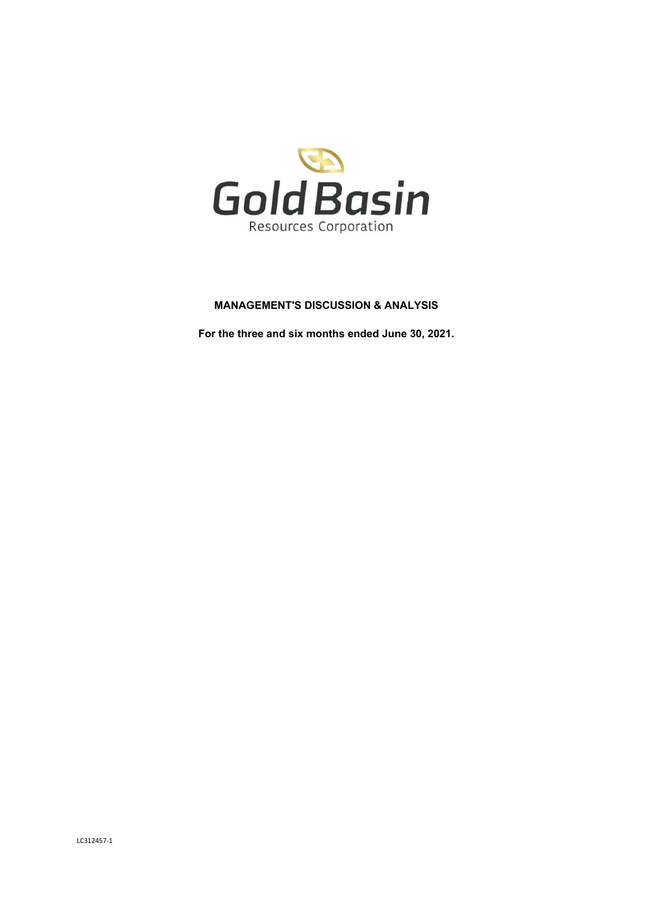

# **MANAGEMENT'S DISCUSSION & ANALYSIS**

**For the three and six months ended June 30, 2021.**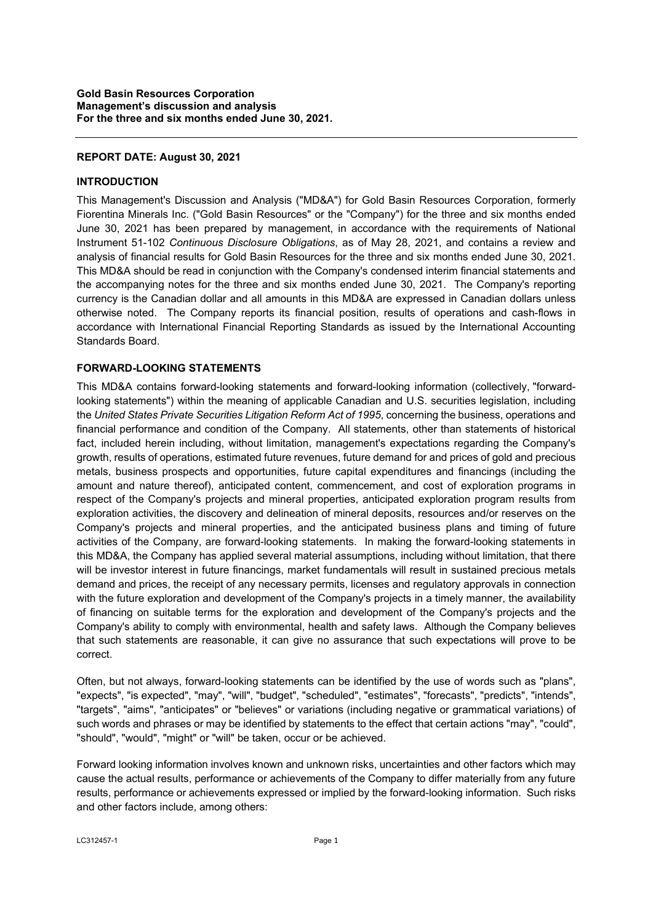## **REPORT DATE: August 30, 2021**

### **INTRODUCTION**

This Management's Discussion and Analysis ("MD&A") for Gold Basin Resources Corporation, formerly Fiorentina Minerals Inc. ("Gold Basin Resources" or the "Company") for the three and six months ended June 30, 2021 has been prepared by management, in accordance with the requirements of National Instrument 51-102 *Continuous Disclosure Obligations*, as of May 28, 2021, and contains a review and analysis of financial results for Gold Basin Resources for the three and six months ended June 30, 2021. This MD&A should be read in conjunction with the Company's condensed interim financial statements and the accompanying notes for the three and six months ended June 30, 2021. The Company's reporting currency is the Canadian dollar and all amounts in this MD&A are expressed in Canadian dollars unless otherwise noted. The Company reports its financial position, results of operations and cash-flows in accordance with International Financial Reporting Standards as issued by the International Accounting Standards Board.

## **FORWARD-LOOKING STATEMENTS**

This MD&A contains forward-looking statements and forward-looking information (collectively, "forwardlooking statements") within the meaning of applicable Canadian and U.S. securities legislation, including the *United States Private Securities Litigation Reform Act of 1995*, concerning the business, operations and financial performance and condition of the Company. All statements, other than statements of historical fact, included herein including, without limitation, management's expectations regarding the Company's growth, results of operations, estimated future revenues, future demand for and prices of gold and precious metals, business prospects and opportunities, future capital expenditures and financings (including the amount and nature thereof), anticipated content, commencement, and cost of exploration programs in respect of the Company's projects and mineral properties, anticipated exploration program results from exploration activities, the discovery and delineation of mineral deposits, resources and/or reserves on the Company's projects and mineral properties, and the anticipated business plans and timing of future activities of the Company, are forward-looking statements. In making the forward-looking statements in this MD&A, the Company has applied several material assumptions, including without limitation, that there will be investor interest in future financings, market fundamentals will result in sustained precious metals demand and prices, the receipt of any necessary permits, licenses and regulatory approvals in connection with the future exploration and development of the Company's projects in a timely manner, the availability of financing on suitable terms for the exploration and development of the Company's projects and the Company's ability to comply with environmental, health and safety laws. Although the Company believes that such statements are reasonable, it can give no assurance that such expectations will prove to be correct.

Often, but not always, forward-looking statements can be identified by the use of words such as "plans", "expects", "is expected", "may", "will", "budget", "scheduled", "estimates", "forecasts", "predicts", "intends", "targets", "aims", "anticipates" or "believes" or variations (including negative or grammatical variations) of such words and phrases or may be identified by statements to the effect that certain actions "may", "could", "should", "would", "might" or "will" be taken, occur or be achieved.

Forward looking information involves known and unknown risks, uncertainties and other factors which may cause the actual results, performance or achievements of the Company to differ materially from any future results, performance or achievements expressed or implied by the forward-looking information. Such risks and other factors include, among others: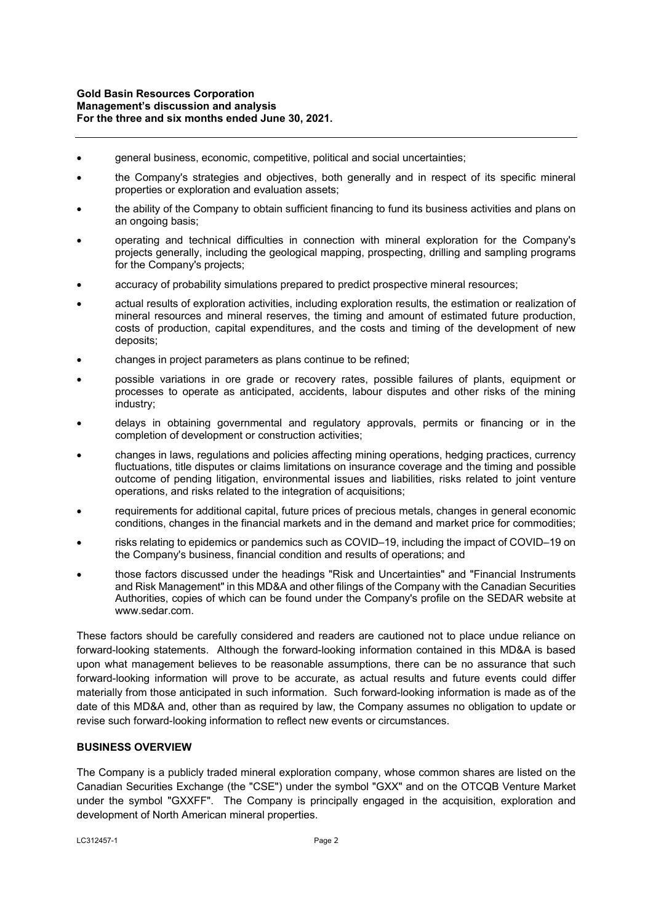- general business, economic, competitive, political and social uncertainties;
- the Company's strategies and objectives, both generally and in respect of its specific mineral properties or exploration and evaluation assets;
- the ability of the Company to obtain sufficient financing to fund its business activities and plans on an ongoing basis;
- operating and technical difficulties in connection with mineral exploration for the Company's projects generally, including the geological mapping, prospecting, drilling and sampling programs for the Company's projects;
- accuracy of probability simulations prepared to predict prospective mineral resources;
- actual results of exploration activities, including exploration results, the estimation or realization of mineral resources and mineral reserves, the timing and amount of estimated future production, costs of production, capital expenditures, and the costs and timing of the development of new deposits;
- changes in project parameters as plans continue to be refined;
- possible variations in ore grade or recovery rates, possible failures of plants, equipment or processes to operate as anticipated, accidents, labour disputes and other risks of the mining industry;
- delays in obtaining governmental and regulatory approvals, permits or financing or in the completion of development or construction activities;
- changes in laws, regulations and policies affecting mining operations, hedging practices, currency fluctuations, title disputes or claims limitations on insurance coverage and the timing and possible outcome of pending litigation, environmental issues and liabilities, risks related to joint venture operations, and risks related to the integration of acquisitions;
- requirements for additional capital, future prices of precious metals, changes in general economic conditions, changes in the financial markets and in the demand and market price for commodities;
- risks relating to epidemics or pandemics such as COVID–19, including the impact of COVID–19 on the Company's business, financial condition and results of operations; and
- those factors discussed under the headings "Risk and Uncertainties" and "Financial Instruments and Risk Management" in this MD&A and other filings of the Company with the Canadian Securities Authorities, copies of which can be found under the Company's profile on the SEDAR website at www.sedar.com.

These factors should be carefully considered and readers are cautioned not to place undue reliance on forward-looking statements. Although the forward-looking information contained in this MD&A is based upon what management believes to be reasonable assumptions, there can be no assurance that such forward-looking information will prove to be accurate, as actual results and future events could differ materially from those anticipated in such information. Such forward-looking information is made as of the date of this MD&A and, other than as required by law, the Company assumes no obligation to update or revise such forward-looking information to reflect new events or circumstances.

### **BUSINESS OVERVIEW**

The Company is a publicly traded mineral exploration company, whose common shares are listed on the Canadian Securities Exchange (the "CSE") under the symbol "GXX" and on the OTCQB Venture Market under the symbol "GXXFF". The Company is principally engaged in the acquisition, exploration and development of North American mineral properties.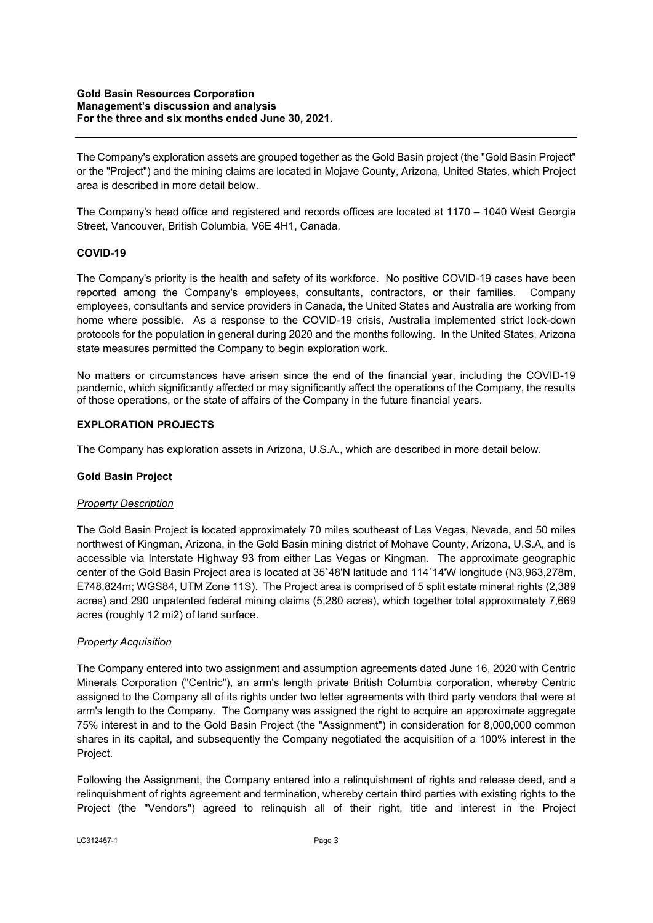The Company's exploration assets are grouped together as the Gold Basin project (the "Gold Basin Project" or the "Project") and the mining claims are located in Mojave County, Arizona, United States, which Project area is described in more detail below.

The Company's head office and registered and records offices are located at 1170 – 1040 West Georgia Street, Vancouver, British Columbia, V6E 4H1, Canada.

## **COVID-19**

The Company's priority is the health and safety of its workforce. No positive COVID-19 cases have been reported among the Company's employees, consultants, contractors, or their families. Company employees, consultants and service providers in Canada, the United States and Australia are working from home where possible. As a response to the COVID-19 crisis, Australia implemented strict lock-down protocols for the population in general during 2020 and the months following. In the United States, Arizona state measures permitted the Company to begin exploration work.

No matters or circumstances have arisen since the end of the financial year, including the COVID-19 pandemic, which significantly affected or may significantly affect the operations of the Company, the results of those operations, or the state of affairs of the Company in the future financial years.

### **EXPLORATION PROJECTS**

The Company has exploration assets in Arizona, U.S.A., which are described in more detail below.

### **Gold Basin Project**

### *Property Description*

The Gold Basin Project is located approximately 70 miles southeast of Las Vegas, Nevada, and 50 miles northwest of Kingman, Arizona, in the Gold Basin mining district of Mohave County, Arizona, U.S.A, and is accessible via Interstate Highway 93 from either Las Vegas or Kingman. The approximate geographic center of the Gold Basin Project area is located at 35˚48'N latitude and 114˚14'W longitude (N3,963,278m, E748,824m; WGS84, UTM Zone 11S). The Project area is comprised of 5 split estate mineral rights (2,389 acres) and 290 unpatented federal mining claims (5,280 acres), which together total approximately 7,669 acres (roughly 12 mi2) of land surface.

### *Property Acquisition*

The Company entered into two assignment and assumption agreements dated June 16, 2020 with Centric Minerals Corporation ("Centric"), an arm's length private British Columbia corporation, whereby Centric assigned to the Company all of its rights under two letter agreements with third party vendors that were at arm's length to the Company. The Company was assigned the right to acquire an approximate aggregate 75% interest in and to the Gold Basin Project (the "Assignment") in consideration for 8,000,000 common shares in its capital, and subsequently the Company negotiated the acquisition of a 100% interest in the Project.

Following the Assignment, the Company entered into a relinquishment of rights and release deed, and a relinquishment of rights agreement and termination, whereby certain third parties with existing rights to the Project (the "Vendors") agreed to relinquish all of their right, title and interest in the Project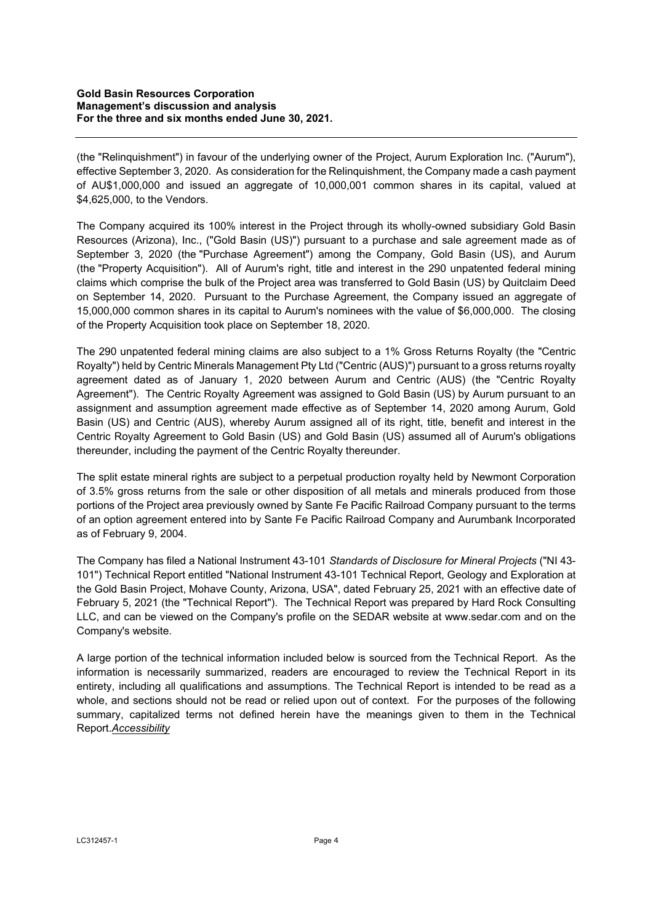(the "Relinquishment") in favour of the underlying owner of the Project, Aurum Exploration Inc. ("Aurum"), effective September 3, 2020. As consideration for the Relinquishment, the Company made a cash payment of AU\$1,000,000 and issued an aggregate of 10,000,001 common shares in its capital, valued at \$4,625,000, to the Vendors.

The Company acquired its 100% interest in the Project through its wholly-owned subsidiary Gold Basin Resources (Arizona), Inc., ("Gold Basin (US)") pursuant to a purchase and sale agreement made as of September 3, 2020 (the "Purchase Agreement") among the Company, Gold Basin (US), and Aurum (the "Property Acquisition"). All of Aurum's right, title and interest in the 290 unpatented federal mining claims which comprise the bulk of the Project area was transferred to Gold Basin (US) by Quitclaim Deed on September 14, 2020. Pursuant to the Purchase Agreement, the Company issued an aggregate of 15,000,000 common shares in its capital to Aurum's nominees with the value of \$6,000,000. The closing of the Property Acquisition took place on September 18, 2020.

The 290 unpatented federal mining claims are also subject to a 1% Gross Returns Royalty (the "Centric Royalty") held by Centric Minerals Management Pty Ltd ("Centric (AUS)") pursuant to a gross returns royalty agreement dated as of January 1, 2020 between Aurum and Centric (AUS) (the "Centric Royalty Agreement"). The Centric Royalty Agreement was assigned to Gold Basin (US) by Aurum pursuant to an assignment and assumption agreement made effective as of September 14, 2020 among Aurum, Gold Basin (US) and Centric (AUS), whereby Aurum assigned all of its right, title, benefit and interest in the Centric Royalty Agreement to Gold Basin (US) and Gold Basin (US) assumed all of Aurum's obligations thereunder, including the payment of the Centric Royalty thereunder.

The split estate mineral rights are subject to a perpetual production royalty held by Newmont Corporation of 3.5% gross returns from the sale or other disposition of all metals and minerals produced from those portions of the Project area previously owned by Sante Fe Pacific Railroad Company pursuant to the terms of an option agreement entered into by Sante Fe Pacific Railroad Company and Aurumbank Incorporated as of February 9, 2004.

The Company has filed a National Instrument 43-101 *Standards of Disclosure for Mineral Projects* ("NI 43- 101") Technical Report entitled "National Instrument 43-101 Technical Report, Geology and Exploration at the Gold Basin Project, Mohave County, Arizona, USA", dated February 25, 2021 with an effective date of February 5, 2021 (the "Technical Report"). The Technical Report was prepared by Hard Rock Consulting LLC, and can be viewed on the Company's profile on the SEDAR website at www.sedar.com and on the Company's website.

A large portion of the technical information included below is sourced from the Technical Report. As the information is necessarily summarized, readers are encouraged to review the Technical Report in its entirety, including all qualifications and assumptions. The Technical Report is intended to be read as a whole, and sections should not be read or relied upon out of context. For the purposes of the following summary, capitalized terms not defined herein have the meanings given to them in the Technical Report.*Accessibility*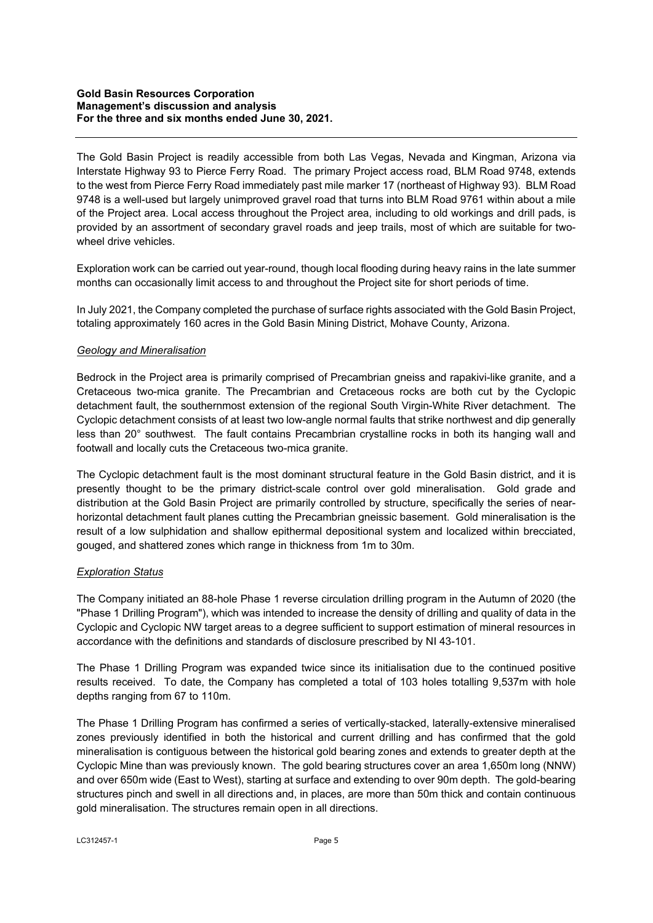#### **Gold Basin Resources Corporation Management's discussion and analysis For the three and six months ended June 30, 2021.**

The Gold Basin Project is readily accessible from both Las Vegas, Nevada and Kingman, Arizona via Interstate Highway 93 to Pierce Ferry Road. The primary Project access road, BLM Road 9748, extends to the west from Pierce Ferry Road immediately past mile marker 17 (northeast of Highway 93). BLM Road 9748 is a well-used but largely unimproved gravel road that turns into BLM Road 9761 within about a mile of the Project area. Local access throughout the Project area, including to old workings and drill pads, is provided by an assortment of secondary gravel roads and jeep trails, most of which are suitable for twowheel drive vehicles.

Exploration work can be carried out year-round, though local flooding during heavy rains in the late summer months can occasionally limit access to and throughout the Project site for short periods of time.

In July 2021, the Company completed the purchase of surface rights associated with the Gold Basin Project, totaling approximately 160 acres in the Gold Basin Mining District, Mohave County, Arizona.

### *Geology and Mineralisation*

Bedrock in the Project area is primarily comprised of Precambrian gneiss and rapakivi-like granite, and a Cretaceous two-mica granite. The Precambrian and Cretaceous rocks are both cut by the Cyclopic detachment fault, the southernmost extension of the regional South Virgin-White River detachment. The Cyclopic detachment consists of at least two low-angle normal faults that strike northwest and dip generally less than 20° southwest. The fault contains Precambrian crystalline rocks in both its hanging wall and footwall and locally cuts the Cretaceous two-mica granite.

The Cyclopic detachment fault is the most dominant structural feature in the Gold Basin district, and it is presently thought to be the primary district-scale control over gold mineralisation. Gold grade and distribution at the Gold Basin Project are primarily controlled by structure, specifically the series of nearhorizontal detachment fault planes cutting the Precambrian gneissic basement. Gold mineralisation is the result of a low sulphidation and shallow epithermal depositional system and localized within brecciated, gouged, and shattered zones which range in thickness from 1m to 30m.

### *Exploration Status*

The Company initiated an 88-hole Phase 1 reverse circulation drilling program in the Autumn of 2020 (the "Phase 1 Drilling Program"), which was intended to increase the density of drilling and quality of data in the Cyclopic and Cyclopic NW target areas to a degree sufficient to support estimation of mineral resources in accordance with the definitions and standards of disclosure prescribed by NI 43-101.

The Phase 1 Drilling Program was expanded twice since its initialisation due to the continued positive results received. To date, the Company has completed a total of 103 holes totalling 9,537m with hole depths ranging from 67 to 110m.

The Phase 1 Drilling Program has confirmed a series of vertically-stacked, laterally-extensive mineralised zones previously identified in both the historical and current drilling and has confirmed that the gold mineralisation is contiguous between the historical gold bearing zones and extends to greater depth at the Cyclopic Mine than was previously known. The gold bearing structures cover an area 1,650m long (NNW) and over 650m wide (East to West), starting at surface and extending to over 90m depth. The gold-bearing structures pinch and swell in all directions and, in places, are more than 50m thick and contain continuous gold mineralisation. The structures remain open in all directions.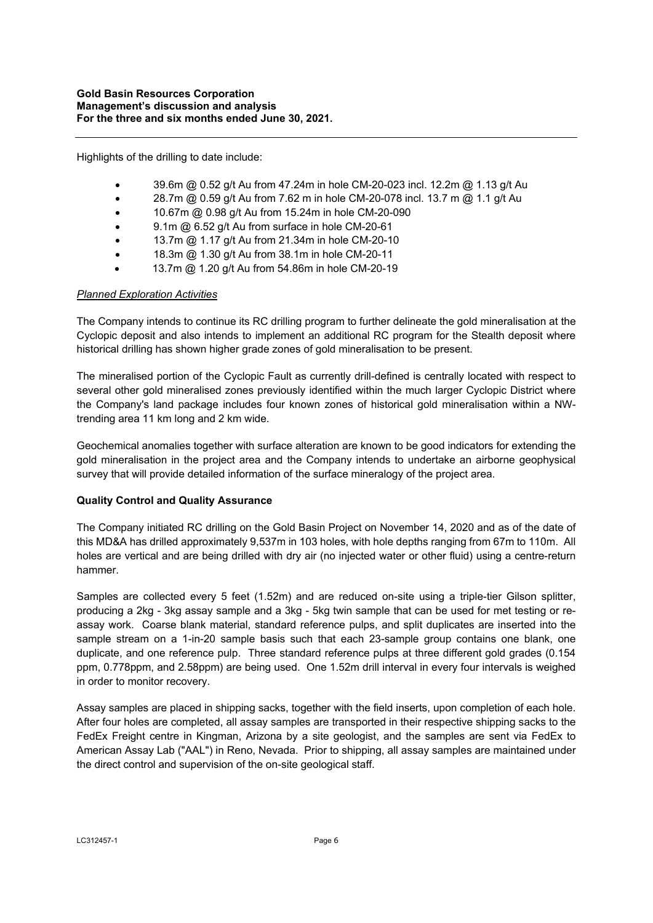Highlights of the drilling to date include:

- 39.6m @ 0.52 g/t Au from 47.24m in hole CM-20-023 incl. 12.2m @ 1.13 g/t Au
- $\bullet$  28.7m @ 0.59 g/t Au from 7.62 m in hole CM-20-078 incl. 13.7 m @ 1.1 g/t Au
- 10.67m @ 0.98 g/t Au from 15.24m in hole CM-20-090
- 9.1m @ 6.52 g/t Au from surface in hole CM-20-61
- 13.7m @ 1.17 g/t Au from 21.34m in hole CM-20-10
- 18.3m @ 1.30 g/t Au from 38.1m in hole CM-20-11
- 13.7m @ 1.20 g/t Au from 54.86m in hole CM-20-19

### *Planned Exploration Activities*

The Company intends to continue its RC drilling program to further delineate the gold mineralisation at the Cyclopic deposit and also intends to implement an additional RC program for the Stealth deposit where historical drilling has shown higher grade zones of gold mineralisation to be present.

The mineralised portion of the Cyclopic Fault as currently drill-defined is centrally located with respect to several other gold mineralised zones previously identified within the much larger Cyclopic District where the Company's land package includes four known zones of historical gold mineralisation within a NWtrending area 11 km long and 2 km wide.

Geochemical anomalies together with surface alteration are known to be good indicators for extending the gold mineralisation in the project area and the Company intends to undertake an airborne geophysical survey that will provide detailed information of the surface mineralogy of the project area.

### **Quality Control and Quality Assurance**

The Company initiated RC drilling on the Gold Basin Project on November 14, 2020 and as of the date of this MD&A has drilled approximately 9,537m in 103 holes, with hole depths ranging from 67m to 110m. All holes are vertical and are being drilled with dry air (no injected water or other fluid) using a centre-return hammer.

Samples are collected every 5 feet (1.52m) and are reduced on-site using a triple-tier Gilson splitter, producing a 2kg - 3kg assay sample and a 3kg - 5kg twin sample that can be used for met testing or reassay work. Coarse blank material, standard reference pulps, and split duplicates are inserted into the sample stream on a 1-in-20 sample basis such that each 23-sample group contains one blank, one duplicate, and one reference pulp. Three standard reference pulps at three different gold grades (0.154 ppm, 0.778ppm, and 2.58ppm) are being used. One 1.52m drill interval in every four intervals is weighed in order to monitor recovery.

Assay samples are placed in shipping sacks, together with the field inserts, upon completion of each hole. After four holes are completed, all assay samples are transported in their respective shipping sacks to the FedEx Freight centre in Kingman, Arizona by a site geologist, and the samples are sent via FedEx to American Assay Lab ("AAL") in Reno, Nevada. Prior to shipping, all assay samples are maintained under the direct control and supervision of the on-site geological staff.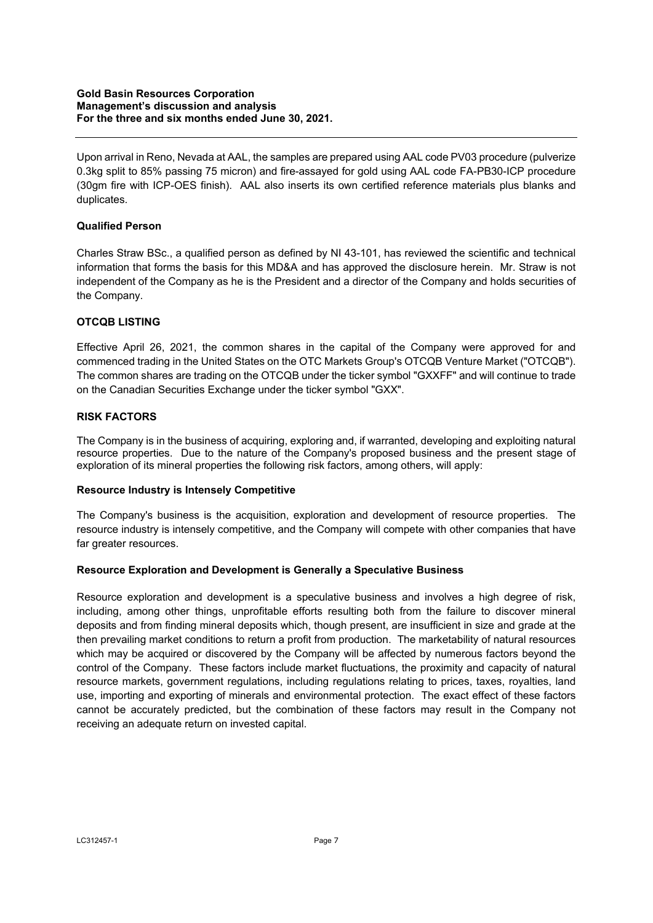Upon arrival in Reno, Nevada at AAL, the samples are prepared using AAL code PV03 procedure (pulverize 0.3kg split to 85% passing 75 micron) and fire-assayed for gold using AAL code FA-PB30-ICP procedure (30gm fire with ICP-OES finish). AAL also inserts its own certified reference materials plus blanks and duplicates.

## **Qualified Person**

Charles Straw BSc., a qualified person as defined by NI 43-101, has reviewed the scientific and technical information that forms the basis for this MD&A and has approved the disclosure herein. Mr. Straw is not independent of the Company as he is the President and a director of the Company and holds securities of the Company.

## **OTCQB LISTING**

Effective April 26, 2021, the common shares in the capital of the Company were approved for and commenced trading in the United States on the OTC Markets Group's OTCQB Venture Market ("OTCQB"). The common shares are trading on the OTCQB under the ticker symbol "GXXFF" and will continue to trade on the Canadian Securities Exchange under the ticker symbol "GXX".

## **RISK FACTORS**

The Company is in the business of acquiring, exploring and, if warranted, developing and exploiting natural resource properties. Due to the nature of the Company's proposed business and the present stage of exploration of its mineral properties the following risk factors, among others, will apply:

### **Resource Industry is Intensely Competitive**

The Company's business is the acquisition, exploration and development of resource properties. The resource industry is intensely competitive, and the Company will compete with other companies that have far greater resources.

### **Resource Exploration and Development is Generally a Speculative Business**

Resource exploration and development is a speculative business and involves a high degree of risk, including, among other things, unprofitable efforts resulting both from the failure to discover mineral deposits and from finding mineral deposits which, though present, are insufficient in size and grade at the then prevailing market conditions to return a profit from production. The marketability of natural resources which may be acquired or discovered by the Company will be affected by numerous factors beyond the control of the Company. These factors include market fluctuations, the proximity and capacity of natural resource markets, government regulations, including regulations relating to prices, taxes, royalties, land use, importing and exporting of minerals and environmental protection. The exact effect of these factors cannot be accurately predicted, but the combination of these factors may result in the Company not receiving an adequate return on invested capital.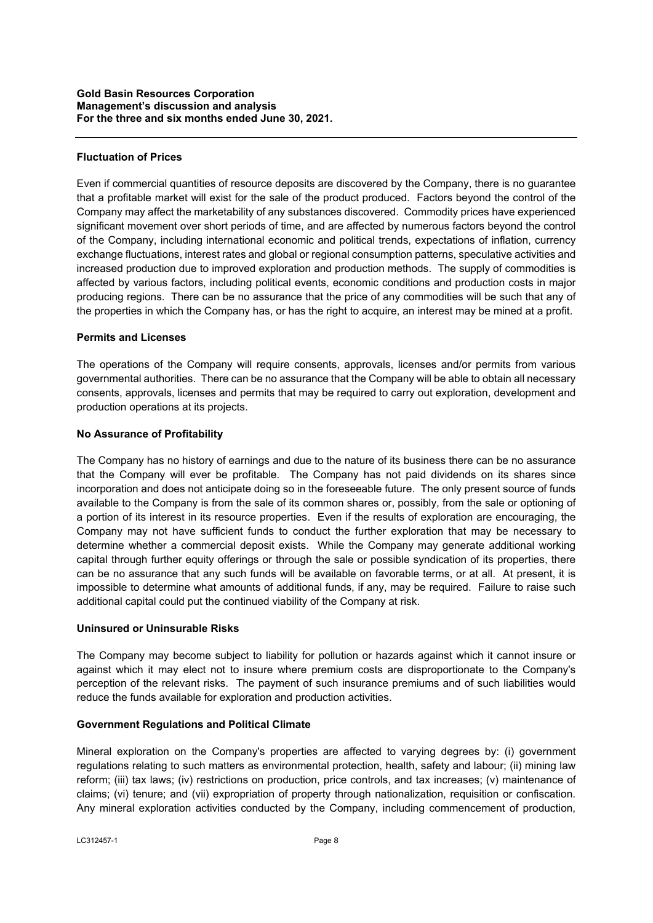## **Fluctuation of Prices**

Even if commercial quantities of resource deposits are discovered by the Company, there is no guarantee that a profitable market will exist for the sale of the product produced. Factors beyond the control of the Company may affect the marketability of any substances discovered. Commodity prices have experienced significant movement over short periods of time, and are affected by numerous factors beyond the control of the Company, including international economic and political trends, expectations of inflation, currency exchange fluctuations, interest rates and global or regional consumption patterns, speculative activities and increased production due to improved exploration and production methods. The supply of commodities is affected by various factors, including political events, economic conditions and production costs in major producing regions. There can be no assurance that the price of any commodities will be such that any of the properties in which the Company has, or has the right to acquire, an interest may be mined at a profit.

### **Permits and Licenses**

The operations of the Company will require consents, approvals, licenses and/or permits from various governmental authorities. There can be no assurance that the Company will be able to obtain all necessary consents, approvals, licenses and permits that may be required to carry out exploration, development and production operations at its projects.

## **No Assurance of Profitability**

The Company has no history of earnings and due to the nature of its business there can be no assurance that the Company will ever be profitable. The Company has not paid dividends on its shares since incorporation and does not anticipate doing so in the foreseeable future. The only present source of funds available to the Company is from the sale of its common shares or, possibly, from the sale or optioning of a portion of its interest in its resource properties. Even if the results of exploration are encouraging, the Company may not have sufficient funds to conduct the further exploration that may be necessary to determine whether a commercial deposit exists. While the Company may generate additional working capital through further equity offerings or through the sale or possible syndication of its properties, there can be no assurance that any such funds will be available on favorable terms, or at all. At present, it is impossible to determine what amounts of additional funds, if any, may be required. Failure to raise such additional capital could put the continued viability of the Company at risk.

### **Uninsured or Uninsurable Risks**

The Company may become subject to liability for pollution or hazards against which it cannot insure or against which it may elect not to insure where premium costs are disproportionate to the Company's perception of the relevant risks. The payment of such insurance premiums and of such liabilities would reduce the funds available for exploration and production activities.

### **Government Regulations and Political Climate**

Mineral exploration on the Company's properties are affected to varying degrees by: (i) government regulations relating to such matters as environmental protection, health, safety and labour; (ii) mining law reform; (iii) tax laws; (iv) restrictions on production, price controls, and tax increases; (v) maintenance of claims; (vi) tenure; and (vii) expropriation of property through nationalization, requisition or confiscation. Any mineral exploration activities conducted by the Company, including commencement of production,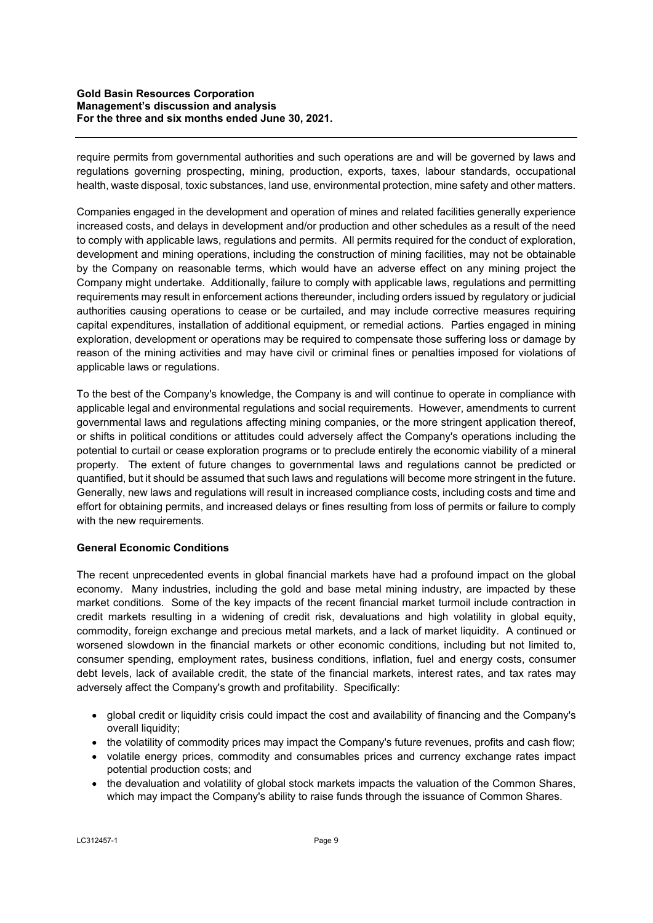require permits from governmental authorities and such operations are and will be governed by laws and regulations governing prospecting, mining, production, exports, taxes, labour standards, occupational health, waste disposal, toxic substances, land use, environmental protection, mine safety and other matters.

Companies engaged in the development and operation of mines and related facilities generally experience increased costs, and delays in development and/or production and other schedules as a result of the need to comply with applicable laws, regulations and permits. All permits required for the conduct of exploration, development and mining operations, including the construction of mining facilities, may not be obtainable by the Company on reasonable terms, which would have an adverse effect on any mining project the Company might undertake. Additionally, failure to comply with applicable laws, regulations and permitting requirements may result in enforcement actions thereunder, including orders issued by regulatory or judicial authorities causing operations to cease or be curtailed, and may include corrective measures requiring capital expenditures, installation of additional equipment, or remedial actions. Parties engaged in mining exploration, development or operations may be required to compensate those suffering loss or damage by reason of the mining activities and may have civil or criminal fines or penalties imposed for violations of applicable laws or regulations.

To the best of the Company's knowledge, the Company is and will continue to operate in compliance with applicable legal and environmental regulations and social requirements. However, amendments to current governmental laws and regulations affecting mining companies, or the more stringent application thereof, or shifts in political conditions or attitudes could adversely affect the Company's operations including the potential to curtail or cease exploration programs or to preclude entirely the economic viability of a mineral property. The extent of future changes to governmental laws and regulations cannot be predicted or quantified, but it should be assumed that such laws and regulations will become more stringent in the future. Generally, new laws and regulations will result in increased compliance costs, including costs and time and effort for obtaining permits, and increased delays or fines resulting from loss of permits or failure to comply with the new requirements.

# **General Economic Conditions**

The recent unprecedented events in global financial markets have had a profound impact on the global economy. Many industries, including the gold and base metal mining industry, are impacted by these market conditions. Some of the key impacts of the recent financial market turmoil include contraction in credit markets resulting in a widening of credit risk, devaluations and high volatility in global equity, commodity, foreign exchange and precious metal markets, and a lack of market liquidity. A continued or worsened slowdown in the financial markets or other economic conditions, including but not limited to, consumer spending, employment rates, business conditions, inflation, fuel and energy costs, consumer debt levels, lack of available credit, the state of the financial markets, interest rates, and tax rates may adversely affect the Company's growth and profitability. Specifically:

- global credit or liquidity crisis could impact the cost and availability of financing and the Company's overall liquidity;
- the volatility of commodity prices may impact the Company's future revenues, profits and cash flow;
- volatile energy prices, commodity and consumables prices and currency exchange rates impact potential production costs; and
- the devaluation and volatility of global stock markets impacts the valuation of the Common Shares, which may impact the Company's ability to raise funds through the issuance of Common Shares.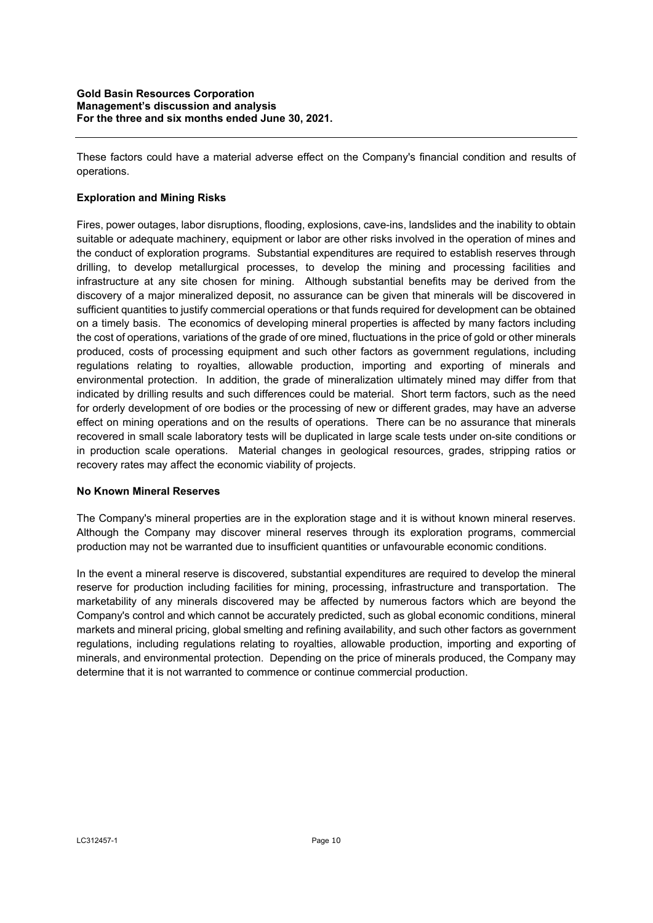These factors could have a material adverse effect on the Company's financial condition and results of operations.

## **Exploration and Mining Risks**

Fires, power outages, labor disruptions, flooding, explosions, cave-ins, landslides and the inability to obtain suitable or adequate machinery, equipment or labor are other risks involved in the operation of mines and the conduct of exploration programs. Substantial expenditures are required to establish reserves through drilling, to develop metallurgical processes, to develop the mining and processing facilities and infrastructure at any site chosen for mining. Although substantial benefits may be derived from the discovery of a major mineralized deposit, no assurance can be given that minerals will be discovered in sufficient quantities to justify commercial operations or that funds required for development can be obtained on a timely basis. The economics of developing mineral properties is affected by many factors including the cost of operations, variations of the grade of ore mined, fluctuations in the price of gold or other minerals produced, costs of processing equipment and such other factors as government regulations, including regulations relating to royalties, allowable production, importing and exporting of minerals and environmental protection. In addition, the grade of mineralization ultimately mined may differ from that indicated by drilling results and such differences could be material. Short term factors, such as the need for orderly development of ore bodies or the processing of new or different grades, may have an adverse effect on mining operations and on the results of operations. There can be no assurance that minerals recovered in small scale laboratory tests will be duplicated in large scale tests under on-site conditions or in production scale operations. Material changes in geological resources, grades, stripping ratios or recovery rates may affect the economic viability of projects.

### **No Known Mineral Reserves**

The Company's mineral properties are in the exploration stage and it is without known mineral reserves. Although the Company may discover mineral reserves through its exploration programs, commercial production may not be warranted due to insufficient quantities or unfavourable economic conditions.

In the event a mineral reserve is discovered, substantial expenditures are required to develop the mineral reserve for production including facilities for mining, processing, infrastructure and transportation. The marketability of any minerals discovered may be affected by numerous factors which are beyond the Company's control and which cannot be accurately predicted, such as global economic conditions, mineral markets and mineral pricing, global smelting and refining availability, and such other factors as government regulations, including regulations relating to royalties, allowable production, importing and exporting of minerals, and environmental protection. Depending on the price of minerals produced, the Company may determine that it is not warranted to commence or continue commercial production.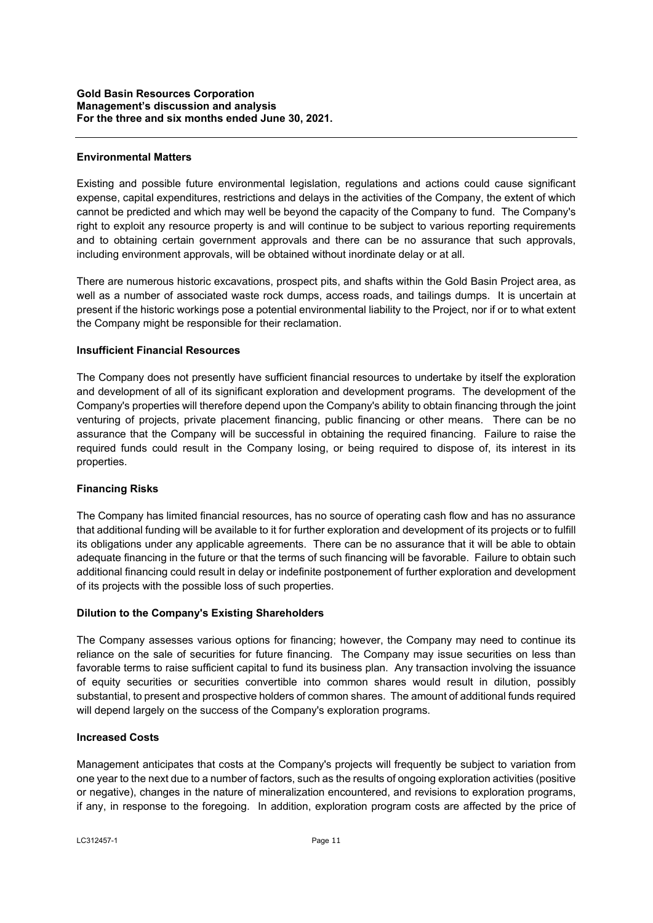### **Environmental Matters**

Existing and possible future environmental legislation, regulations and actions could cause significant expense, capital expenditures, restrictions and delays in the activities of the Company, the extent of which cannot be predicted and which may well be beyond the capacity of the Company to fund. The Company's right to exploit any resource property is and will continue to be subject to various reporting requirements and to obtaining certain government approvals and there can be no assurance that such approvals, including environment approvals, will be obtained without inordinate delay or at all.

There are numerous historic excavations, prospect pits, and shafts within the Gold Basin Project area, as well as a number of associated waste rock dumps, access roads, and tailings dumps. It is uncertain at present if the historic workings pose a potential environmental liability to the Project, nor if or to what extent the Company might be responsible for their reclamation.

## **Insufficient Financial Resources**

The Company does not presently have sufficient financial resources to undertake by itself the exploration and development of all of its significant exploration and development programs. The development of the Company's properties will therefore depend upon the Company's ability to obtain financing through the joint venturing of projects, private placement financing, public financing or other means. There can be no assurance that the Company will be successful in obtaining the required financing. Failure to raise the required funds could result in the Company losing, or being required to dispose of, its interest in its properties.

# **Financing Risks**

The Company has limited financial resources, has no source of operating cash flow and has no assurance that additional funding will be available to it for further exploration and development of its projects or to fulfill its obligations under any applicable agreements. There can be no assurance that it will be able to obtain adequate financing in the future or that the terms of such financing will be favorable. Failure to obtain such additional financing could result in delay or indefinite postponement of further exploration and development of its projects with the possible loss of such properties.

# **Dilution to the Company's Existing Shareholders**

The Company assesses various options for financing; however, the Company may need to continue its reliance on the sale of securities for future financing. The Company may issue securities on less than favorable terms to raise sufficient capital to fund its business plan. Any transaction involving the issuance of equity securities or securities convertible into common shares would result in dilution, possibly substantial, to present and prospective holders of common shares. The amount of additional funds required will depend largely on the success of the Company's exploration programs.

### **Increased Costs**

Management anticipates that costs at the Company's projects will frequently be subject to variation from one year to the next due to a number of factors, such as the results of ongoing exploration activities (positive or negative), changes in the nature of mineralization encountered, and revisions to exploration programs, if any, in response to the foregoing. In addition, exploration program costs are affected by the price of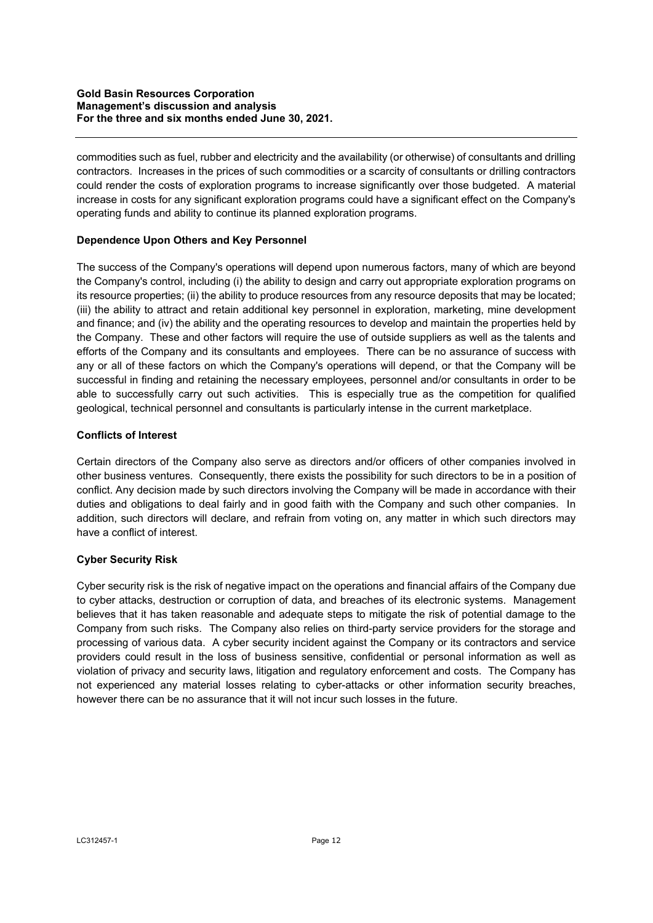commodities such as fuel, rubber and electricity and the availability (or otherwise) of consultants and drilling contractors. Increases in the prices of such commodities or a scarcity of consultants or drilling contractors could render the costs of exploration programs to increase significantly over those budgeted. A material increase in costs for any significant exploration programs could have a significant effect on the Company's operating funds and ability to continue its planned exploration programs.

## **Dependence Upon Others and Key Personnel**

The success of the Company's operations will depend upon numerous factors, many of which are beyond the Company's control, including (i) the ability to design and carry out appropriate exploration programs on its resource properties; (ii) the ability to produce resources from any resource deposits that may be located; (iii) the ability to attract and retain additional key personnel in exploration, marketing, mine development and finance; and (iv) the ability and the operating resources to develop and maintain the properties held by the Company. These and other factors will require the use of outside suppliers as well as the talents and efforts of the Company and its consultants and employees. There can be no assurance of success with any or all of these factors on which the Company's operations will depend, or that the Company will be successful in finding and retaining the necessary employees, personnel and/or consultants in order to be able to successfully carry out such activities. This is especially true as the competition for qualified geological, technical personnel and consultants is particularly intense in the current marketplace.

## **Conflicts of Interest**

Certain directors of the Company also serve as directors and/or officers of other companies involved in other business ventures. Consequently, there exists the possibility for such directors to be in a position of conflict. Any decision made by such directors involving the Company will be made in accordance with their duties and obligations to deal fairly and in good faith with the Company and such other companies. In addition, such directors will declare, and refrain from voting on, any matter in which such directors may have a conflict of interest.

# **Cyber Security Risk**

Cyber security risk is the risk of negative impact on the operations and financial affairs of the Company due to cyber attacks, destruction or corruption of data, and breaches of its electronic systems. Management believes that it has taken reasonable and adequate steps to mitigate the risk of potential damage to the Company from such risks. The Company also relies on third-party service providers for the storage and processing of various data. A cyber security incident against the Company or its contractors and service providers could result in the loss of business sensitive, confidential or personal information as well as violation of privacy and security laws, litigation and regulatory enforcement and costs. The Company has not experienced any material losses relating to cyber-attacks or other information security breaches, however there can be no assurance that it will not incur such losses in the future.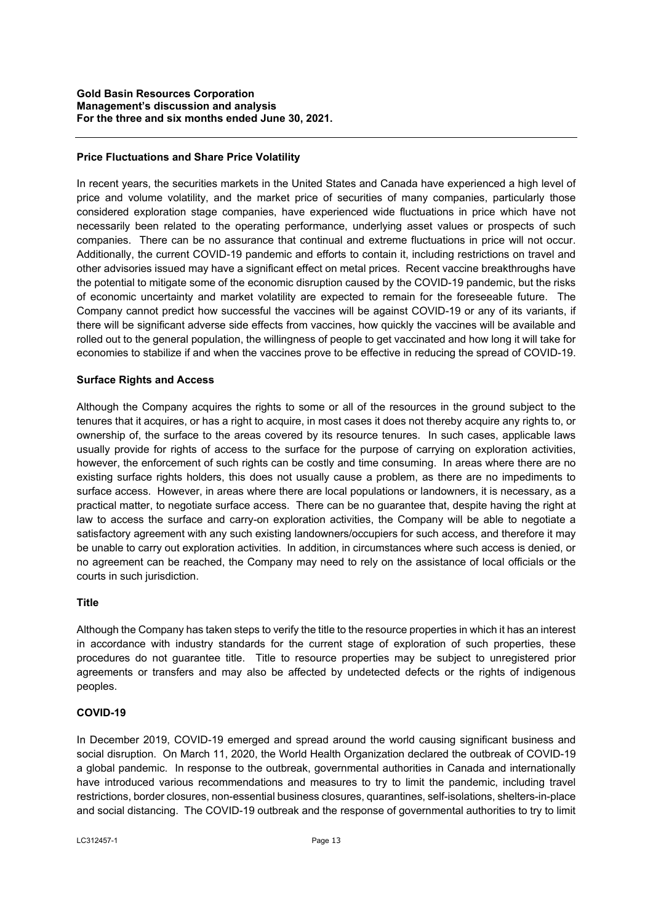### **Price Fluctuations and Share Price Volatility**

In recent years, the securities markets in the United States and Canada have experienced a high level of price and volume volatility, and the market price of securities of many companies, particularly those considered exploration stage companies, have experienced wide fluctuations in price which have not necessarily been related to the operating performance, underlying asset values or prospects of such companies. There can be no assurance that continual and extreme fluctuations in price will not occur. Additionally, the current COVID-19 pandemic and efforts to contain it, including restrictions on travel and other advisories issued may have a significant effect on metal prices. Recent vaccine breakthroughs have the potential to mitigate some of the economic disruption caused by the COVID-19 pandemic, but the risks of economic uncertainty and market volatility are expected to remain for the foreseeable future. The Company cannot predict how successful the vaccines will be against COVID-19 or any of its variants, if there will be significant adverse side effects from vaccines, how quickly the vaccines will be available and rolled out to the general population, the willingness of people to get vaccinated and how long it will take for economies to stabilize if and when the vaccines prove to be effective in reducing the spread of COVID-19.

### **Surface Rights and Access**

Although the Company acquires the rights to some or all of the resources in the ground subject to the tenures that it acquires, or has a right to acquire, in most cases it does not thereby acquire any rights to, or ownership of, the surface to the areas covered by its resource tenures. In such cases, applicable laws usually provide for rights of access to the surface for the purpose of carrying on exploration activities, however, the enforcement of such rights can be costly and time consuming. In areas where there are no existing surface rights holders, this does not usually cause a problem, as there are no impediments to surface access. However, in areas where there are local populations or landowners, it is necessary, as a practical matter, to negotiate surface access. There can be no guarantee that, despite having the right at law to access the surface and carry-on exploration activities, the Company will be able to negotiate a satisfactory agreement with any such existing landowners/occupiers for such access, and therefore it may be unable to carry out exploration activities. In addition, in circumstances where such access is denied, or no agreement can be reached, the Company may need to rely on the assistance of local officials or the courts in such jurisdiction.

### **Title**

Although the Company has taken steps to verify the title to the resource properties in which it has an interest in accordance with industry standards for the current stage of exploration of such properties, these procedures do not guarantee title. Title to resource properties may be subject to unregistered prior agreements or transfers and may also be affected by undetected defects or the rights of indigenous peoples.

### **COVID-19**

In December 2019, COVID-19 emerged and spread around the world causing significant business and social disruption. On March 11, 2020, the World Health Organization declared the outbreak of COVID-19 a global pandemic. In response to the outbreak, governmental authorities in Canada and internationally have introduced various recommendations and measures to try to limit the pandemic, including travel restrictions, border closures, non-essential business closures, quarantines, self-isolations, shelters-in-place and social distancing. The COVID-19 outbreak and the response of governmental authorities to try to limit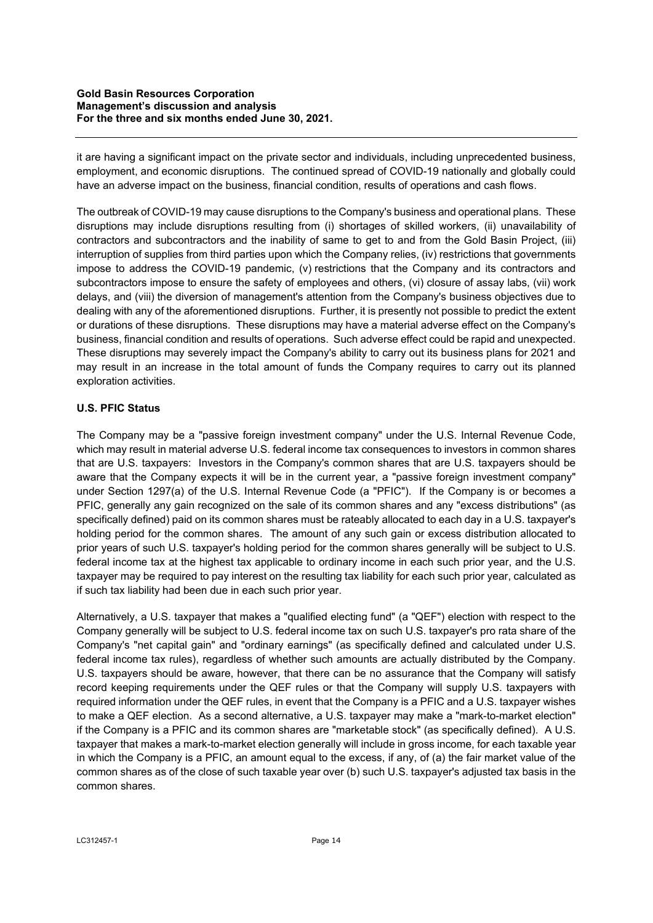it are having a significant impact on the private sector and individuals, including unprecedented business, employment, and economic disruptions. The continued spread of COVID-19 nationally and globally could have an adverse impact on the business, financial condition, results of operations and cash flows.

The outbreak of COVID-19 may cause disruptions to the Company's business and operational plans. These disruptions may include disruptions resulting from (i) shortages of skilled workers, (ii) unavailability of contractors and subcontractors and the inability of same to get to and from the Gold Basin Project, (iii) interruption of supplies from third parties upon which the Company relies, (iv) restrictions that governments impose to address the COVID-19 pandemic, (v) restrictions that the Company and its contractors and subcontractors impose to ensure the safety of employees and others, (vi) closure of assay labs, (vii) work delays, and (viii) the diversion of management's attention from the Company's business objectives due to dealing with any of the aforementioned disruptions. Further, it is presently not possible to predict the extent or durations of these disruptions. These disruptions may have a material adverse effect on the Company's business, financial condition and results of operations. Such adverse effect could be rapid and unexpected. These disruptions may severely impact the Company's ability to carry out its business plans for 2021 and may result in an increase in the total amount of funds the Company requires to carry out its planned exploration activities.

# **U.S. PFIC Status**

The Company may be a "passive foreign investment company" under the U.S. Internal Revenue Code, which may result in material adverse U.S. federal income tax consequences to investors in common shares that are U.S. taxpayers: Investors in the Company's common shares that are U.S. taxpayers should be aware that the Company expects it will be in the current year, a "passive foreign investment company" under Section 1297(a) of the U.S. Internal Revenue Code (a "PFIC"). If the Company is or becomes a PFIC, generally any gain recognized on the sale of its common shares and any "excess distributions" (as specifically defined) paid on its common shares must be rateably allocated to each day in a U.S. taxpayer's holding period for the common shares. The amount of any such gain or excess distribution allocated to prior years of such U.S. taxpayer's holding period for the common shares generally will be subject to U.S. federal income tax at the highest tax applicable to ordinary income in each such prior year, and the U.S. taxpayer may be required to pay interest on the resulting tax liability for each such prior year, calculated as if such tax liability had been due in each such prior year.

Alternatively, a U.S. taxpayer that makes a "qualified electing fund" (a "QEF") election with respect to the Company generally will be subject to U.S. federal income tax on such U.S. taxpayer's pro rata share of the Company's "net capital gain" and "ordinary earnings" (as specifically defined and calculated under U.S. federal income tax rules), regardless of whether such amounts are actually distributed by the Company. U.S. taxpayers should be aware, however, that there can be no assurance that the Company will satisfy record keeping requirements under the QEF rules or that the Company will supply U.S. taxpayers with required information under the QEF rules, in event that the Company is a PFIC and a U.S. taxpayer wishes to make a QEF election. As a second alternative, a U.S. taxpayer may make a "mark-to-market election" if the Company is a PFIC and its common shares are "marketable stock" (as specifically defined). A U.S. taxpayer that makes a mark-to-market election generally will include in gross income, for each taxable year in which the Company is a PFIC, an amount equal to the excess, if any, of (a) the fair market value of the common shares as of the close of such taxable year over (b) such U.S. taxpayer's adjusted tax basis in the common shares.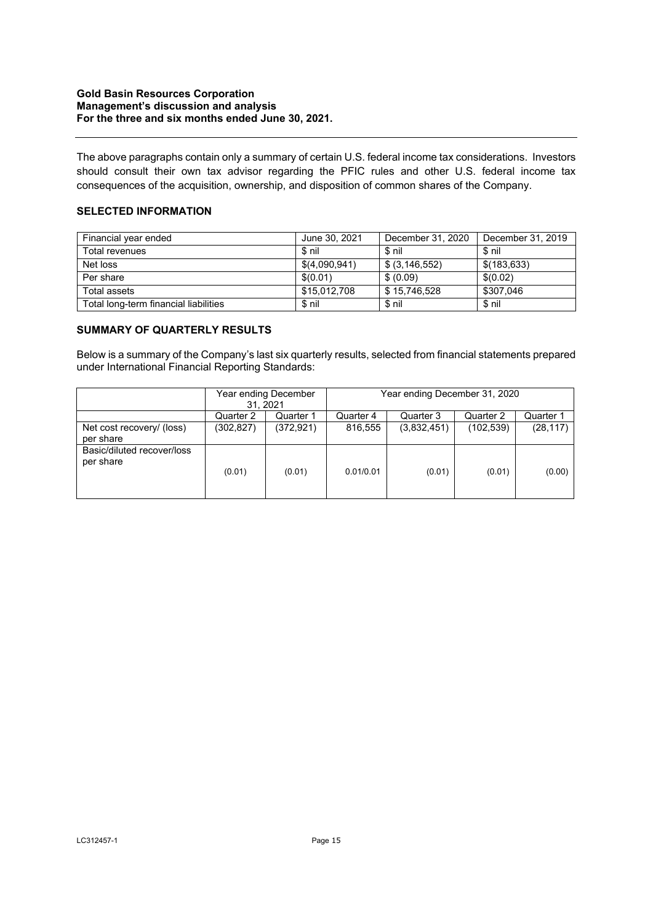The above paragraphs contain only a summary of certain U.S. federal income tax considerations. Investors should consult their own tax advisor regarding the PFIC rules and other U.S. federal income tax consequences of the acquisition, ownership, and disposition of common shares of the Company.

# **SELECTED INFORMATION**

| Financial year ended                  | June 30, 2021 | December 31, 2020 | December 31, 2019 |
|---------------------------------------|---------------|-------------------|-------------------|
| Total revenues                        | \$ nil        | \$nil             | $$$ nil           |
| Net loss                              | \$(4,090,941) | \$ (3, 146, 552)  | \$(183, 633)      |
| Per share                             | \$(0.01)      | \$ (0.09)         | \$(0.02)          |
| Total assets                          | \$15,012,708  | \$15,746,528      | \$307,046         |
| Total long-term financial liabilities | \$ nil        | \$ nil            | \$ nil            |

## **SUMMARY OF QUARTERLY RESULTS**

Below is a summary of the Company's last six quarterly results, selected from financial statements prepared under International Financial Reporting Standards:

|                                         | Year ending December<br>31.2021 |           | Year ending December 31, 2020 |             |            |           |
|-----------------------------------------|---------------------------------|-----------|-------------------------------|-------------|------------|-----------|
|                                         | Quarter 2                       | Quarter 1 | Quarter 4                     | Quarter 3   | Quarter 2  | Quarter 1 |
| Net cost recovery/ (loss)<br>per share  | (302, 827)                      | (372.921) | 816.555                       | (3,832,451) | (102, 539) | (28, 117) |
| Basic/diluted recover/loss<br>per share | (0.01)                          | (0.01)    | 0.01/0.01                     | (0.01)      | (0.01)     | (0.00)    |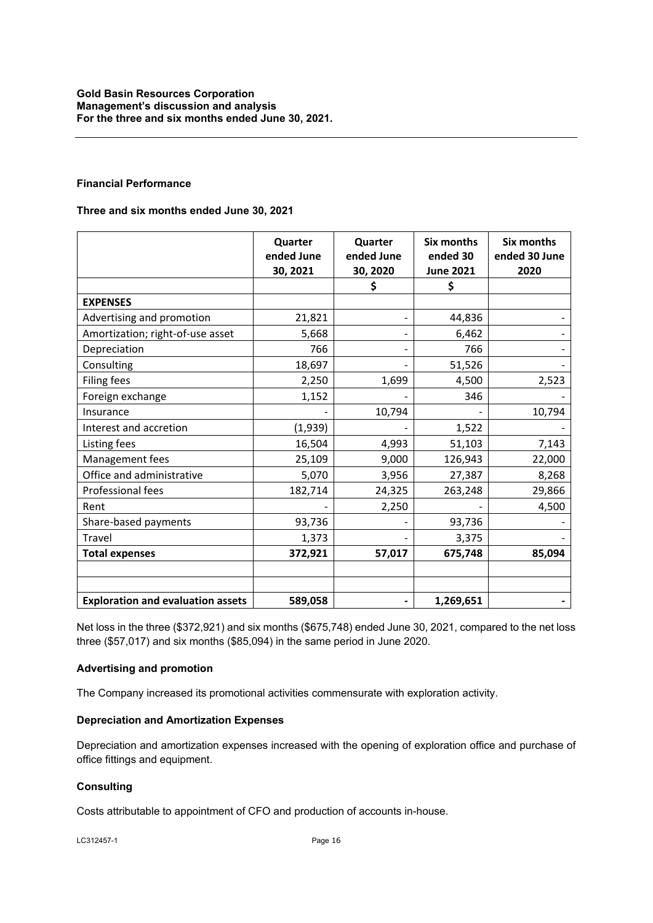## **Financial Performance**

## **Three and six months ended June 30, 2021**

|                                          | Quarter<br>ended June<br>30, 2021 | Quarter<br>ended June<br>30, 2020 | <b>Six months</b><br>ended 30<br><b>June 2021</b> | <b>Six months</b><br>ended 30 June<br>2020 |
|------------------------------------------|-----------------------------------|-----------------------------------|---------------------------------------------------|--------------------------------------------|
|                                          |                                   | \$                                | \$                                                |                                            |
| <b>EXPENSES</b>                          |                                   |                                   |                                                   |                                            |
| Advertising and promotion                | 21,821                            |                                   | 44,836                                            |                                            |
| Amortization; right-of-use asset         | 5,668                             |                                   | 6,462                                             |                                            |
| Depreciation                             | 766                               |                                   | 766                                               |                                            |
| Consulting                               | 18,697                            |                                   | 51,526                                            |                                            |
| Filing fees                              | 2,250                             | 1,699                             | 4,500                                             | 2,523                                      |
| Foreign exchange                         | 1,152                             |                                   | 346                                               |                                            |
| Insurance                                |                                   | 10,794                            |                                                   | 10,794                                     |
| Interest and accretion                   | (1,939)                           |                                   | 1,522                                             |                                            |
| Listing fees                             | 16,504                            | 4,993                             | 51,103                                            | 7,143                                      |
| Management fees                          | 25,109                            | 9,000                             | 126,943                                           | 22,000                                     |
| Office and administrative                | 5,070                             | 3,956                             | 27,387                                            | 8,268                                      |
| Professional fees                        | 182,714                           | 24,325                            | 263,248                                           | 29,866                                     |
| Rent                                     |                                   | 2,250                             |                                                   | 4,500                                      |
| Share-based payments                     | 93,736                            |                                   | 93,736                                            |                                            |
| Travel                                   | 1,373                             |                                   | 3,375                                             |                                            |
| <b>Total expenses</b>                    | 372,921                           | 57,017                            | 675,748                                           | 85,094                                     |
|                                          |                                   |                                   |                                                   |                                            |
|                                          |                                   |                                   |                                                   |                                            |
| <b>Exploration and evaluation assets</b> | 589,058                           |                                   | 1,269,651                                         |                                            |

Net loss in the three (\$372,921) and six months (\$675,748) ended June 30, 2021, compared to the net loss three (\$57,017) and six months (\$85,094) in the same period in June 2020.

## **Advertising and promotion**

The Company increased its promotional activities commensurate with exploration activity.

### **Depreciation and Amortization Expenses**

Depreciation and amortization expenses increased with the opening of exploration office and purchase of office fittings and equipment.

# **Consulting**

Costs attributable to appointment of CFO and production of accounts in-house.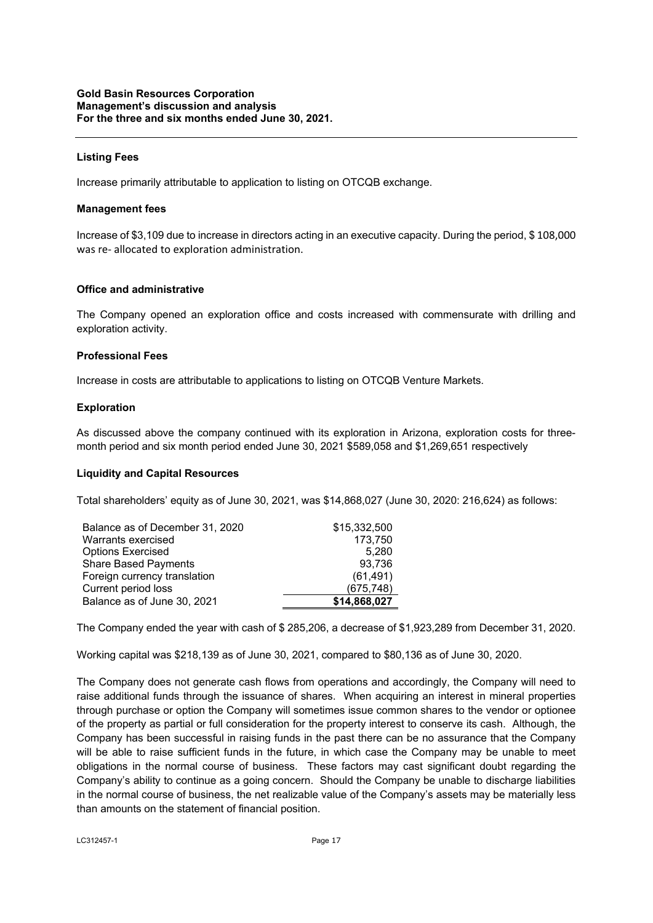## **Listing Fees**

Increase primarily attributable to application to listing on OTCQB exchange.

#### **Management fees**

Increase of \$3,109 due to increase in directors acting in an executive capacity. During the period, \$ 108,000 was re- allocated to exploration administration.

#### **Office and administrative**

The Company opened an exploration office and costs increased with commensurate with drilling and exploration activity.

### **Professional Fees**

Increase in costs are attributable to applications to listing on OTCQB Venture Markets.

#### **Exploration**

As discussed above the company continued with its exploration in Arizona, exploration costs for threemonth period and six month period ended June 30, 2021 \$589,058 and \$1,269,651 respectively

### **Liquidity and Capital Resources**

Total shareholders' equity as of June 30, 2021, was \$14,868,027 (June 30, 2020: 216,624) as follows:

| Balance as of December 31, 2020 | \$15,332,500 |
|---------------------------------|--------------|
| Warrants exercised              | 173,750      |
| <b>Options Exercised</b>        | 5,280        |
| <b>Share Based Payments</b>     | 93.736       |
| Foreign currency translation    | (61, 491)    |
| Current period loss             | (675, 748)   |
| Balance as of June 30, 2021     | \$14,868,027 |

The Company ended the year with cash of \$ 285,206, a decrease of \$1,923,289 from December 31, 2020.

Working capital was \$218,139 as of June 30, 2021, compared to \$80,136 as of June 30, 2020.

The Company does not generate cash flows from operations and accordingly, the Company will need to raise additional funds through the issuance of shares. When acquiring an interest in mineral properties through purchase or option the Company will sometimes issue common shares to the vendor or optionee of the property as partial or full consideration for the property interest to conserve its cash. Although, the Company has been successful in raising funds in the past there can be no assurance that the Company will be able to raise sufficient funds in the future, in which case the Company may be unable to meet obligations in the normal course of business. These factors may cast significant doubt regarding the Company's ability to continue as a going concern. Should the Company be unable to discharge liabilities in the normal course of business, the net realizable value of the Company's assets may be materially less than amounts on the statement of financial position.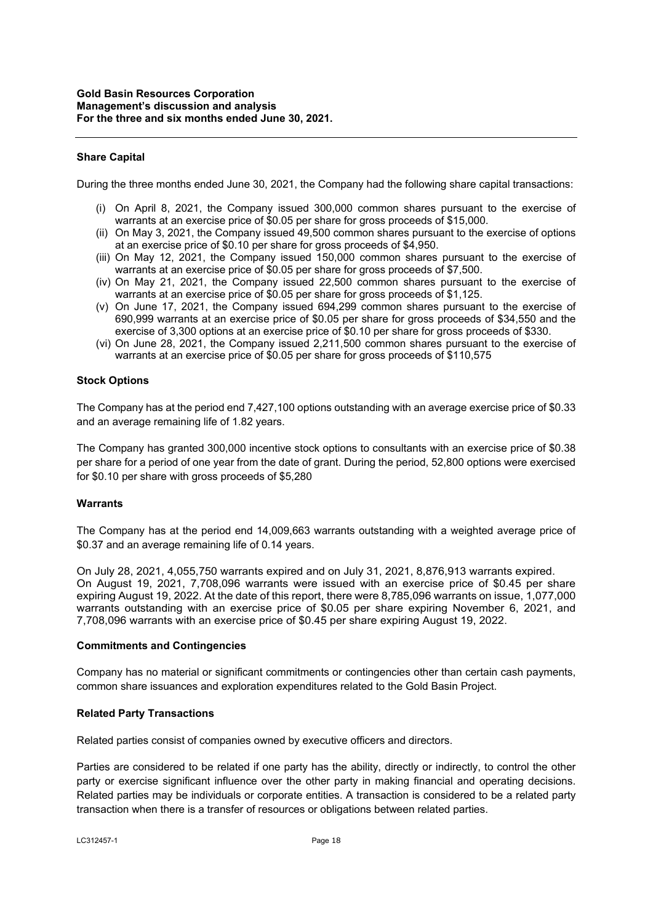### **Share Capital**

During the three months ended June 30, 2021, the Company had the following share capital transactions:

- (i) On April 8, 2021, the Company issued 300,000 common shares pursuant to the exercise of warrants at an exercise price of \$0.05 per share for gross proceeds of \$15,000.
- (ii) On May 3, 2021, the Company issued 49,500 common shares pursuant to the exercise of options at an exercise price of \$0.10 per share for gross proceeds of \$4,950.
- (iii) On May 12, 2021, the Company issued 150,000 common shares pursuant to the exercise of warrants at an exercise price of \$0.05 per share for gross proceeds of \$7,500.
- (iv) On May 21, 2021, the Company issued 22,500 common shares pursuant to the exercise of warrants at an exercise price of \$0.05 per share for gross proceeds of \$1,125.
- (v) On June 17, 2021, the Company issued 694,299 common shares pursuant to the exercise of 690,999 warrants at an exercise price of \$0.05 per share for gross proceeds of \$34,550 and the exercise of 3,300 options at an exercise price of \$0.10 per share for gross proceeds of \$330.
- (vi) On June 28, 2021, the Company issued 2,211,500 common shares pursuant to the exercise of warrants at an exercise price of \$0.05 per share for gross proceeds of \$110,575

### **Stock Options**

The Company has at the period end 7,427,100 options outstanding with an average exercise price of \$0.33 and an average remaining life of 1.82 years.

The Company has granted 300,000 incentive stock options to consultants with an exercise price of \$0.38 per share for a period of one year from the date of grant. During the period, 52,800 options were exercised for \$0.10 per share with gross proceeds of \$5,280

### **Warrants**

The Company has at the period end 14,009,663 warrants outstanding with a weighted average price of \$0.37 and an average remaining life of 0.14 years.

On July 28, 2021, 4,055,750 warrants expired and on July 31, 2021, 8,876,913 warrants expired. On August 19, 2021, 7,708,096 warrants were issued with an exercise price of \$0.45 per share expiring August 19, 2022. At the date of this report, there were 8,785,096 warrants on issue, 1,077,000 warrants outstanding with an exercise price of \$0.05 per share expiring November 6, 2021, and 7,708,096 warrants with an exercise price of \$0.45 per share expiring August 19, 2022.

#### **Commitments and Contingencies**

Company has no material or significant commitments or contingencies other than certain cash payments, common share issuances and exploration expenditures related to the Gold Basin Project.

### **Related Party Transactions**

Related parties consist of companies owned by executive officers and directors.

Parties are considered to be related if one party has the ability, directly or indirectly, to control the other party or exercise significant influence over the other party in making financial and operating decisions. Related parties may be individuals or corporate entities. A transaction is considered to be a related party transaction when there is a transfer of resources or obligations between related parties.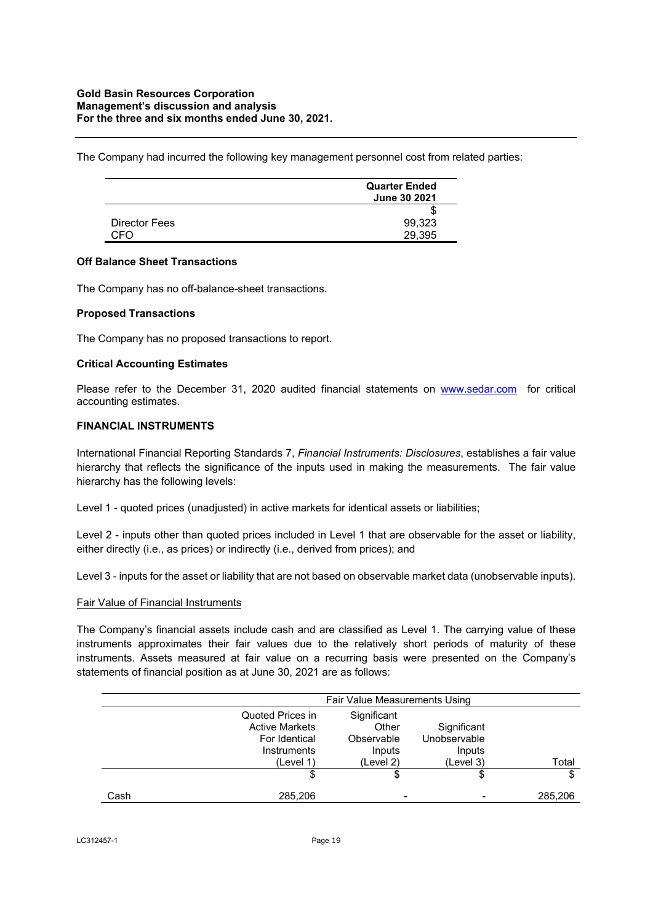The Company had incurred the following key management personnel cost from related parties:

|               | <b>Quarter Ended</b><br>June 30 2021 |
|---------------|--------------------------------------|
|               | ъ                                    |
| Director Fees | 99,323                               |
| CEO.          | 29.395                               |

### **Off Balance Sheet Transactions**

The Company has no off-balance-sheet transactions.

### **Proposed Transactions**

The Company has no proposed transactions to report.

### **Critical Accounting Estimates**

Please refer to the December 31, 2020 audited financial statements on www.sedar.com for critical accounting estimates.

## **FINANCIAL INSTRUMENTS**

International Financial Reporting Standards 7, *Financial Instruments: Disclosures*, establishes a fair value hierarchy that reflects the significance of the inputs used in making the measurements. The fair value hierarchy has the following levels:

Level 1 - quoted prices (unadjusted) in active markets for identical assets or liabilities;

Level 2 - inputs other than quoted prices included in Level 1 that are observable for the asset or liability, either directly (i.e., as prices) or indirectly (i.e., derived from prices); and

Level 3 - inputs for the asset or liability that are not based on observable market data (unobservable inputs).

### Fair Value of Financial Instruments

The Company's financial assets include cash and are classified as Level 1. The carrying value of these instruments approximates their fair values due to the relatively short periods of maturity of these instruments. Assets measured at fair value on a recurring basis were presented on the Company's statements of financial position as at June 30, 2021 are as follows:

|      | <b>Fair Value Measurements Using</b>                                                   |                                                           |                                                    |         |
|------|----------------------------------------------------------------------------------------|-----------------------------------------------------------|----------------------------------------------------|---------|
|      | Quoted Prices in<br><b>Active Markets</b><br>For Identical<br>Instruments<br>(Level 1) | Significant<br>Other<br>Observable<br>Inputs<br>(Level 2) | Significant<br>Unobservable<br>Inputs<br>(Level 3) | Total   |
|      | \$                                                                                     | \$                                                        | \$                                                 | \$      |
| Cash | 285,206                                                                                |                                                           |                                                    | 285,206 |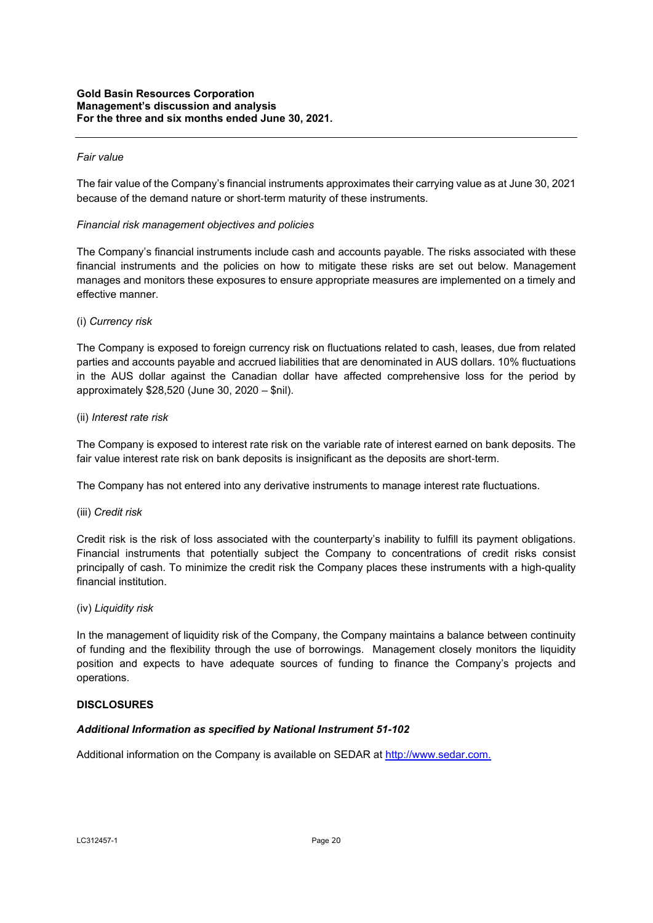### *Fair value*

The fair value of the Company's financial instruments approximates their carrying value as at June 30, 2021 because of the demand nature or short-term maturity of these instruments.

### *Financial risk management objectives and policies*

The Company's financial instruments include cash and accounts payable. The risks associated with these financial instruments and the policies on how to mitigate these risks are set out below. Management manages and monitors these exposures to ensure appropriate measures are implemented on a timely and effective manner.

## (i) *Currency risk*

The Company is exposed to foreign currency risk on fluctuations related to cash, leases, due from related parties and accounts payable and accrued liabilities that are denominated in AUS dollars. 10% fluctuations in the AUS dollar against the Canadian dollar have affected comprehensive loss for the period by approximately \$28,520 (June 30, 2020 – \$nil).

## (ii) *Interest rate risk*

The Company is exposed to interest rate risk on the variable rate of interest earned on bank deposits. The fair value interest rate risk on bank deposits is insignificant as the deposits are short-term.

The Company has not entered into any derivative instruments to manage interest rate fluctuations.

### (iii) *Credit risk*

Credit risk is the risk of loss associated with the counterparty's inability to fulfill its payment obligations. Financial instruments that potentially subject the Company to concentrations of credit risks consist principally of cash. To minimize the credit risk the Company places these instruments with a high-quality financial institution.

### (iv) *Liquidity risk*

In the management of liquidity risk of the Company, the Company maintains a balance between continuity of funding and the flexibility through the use of borrowings. Management closely monitors the liquidity position and expects to have adequate sources of funding to finance the Company's projects and operations.

### **DISCLOSURES**

# *Additional Information as specified by National Instrument 51-102*

Additional information on the Company is available on SEDAR at http://www.sedar.com.